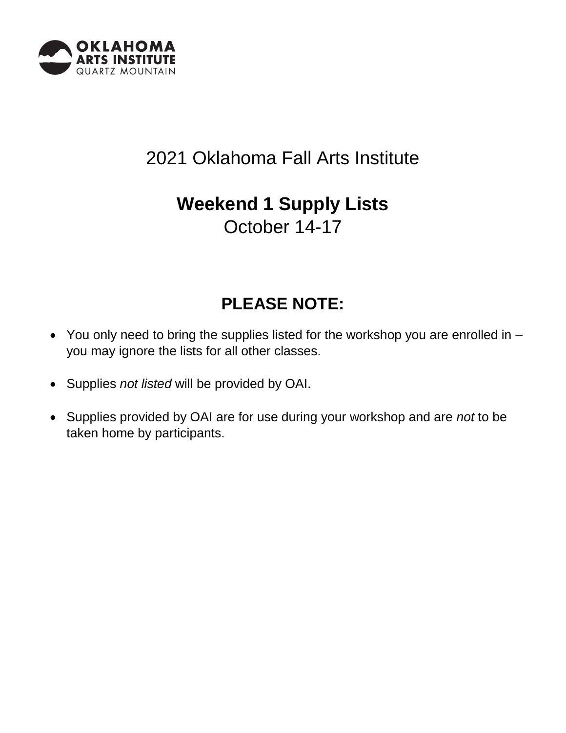

# 2021 Oklahoma Fall Arts Institute

## **Weekend 1 Supply Lists** October 14-17

## **PLEASE NOTE:**

- You only need to bring the supplies listed for the workshop you are enrolled in you may ignore the lists for all other classes.
- Supplies *not listed* will be provided by OAI.
- Supplies provided by OAI are for use during your workshop and are *not* to be taken home by participants.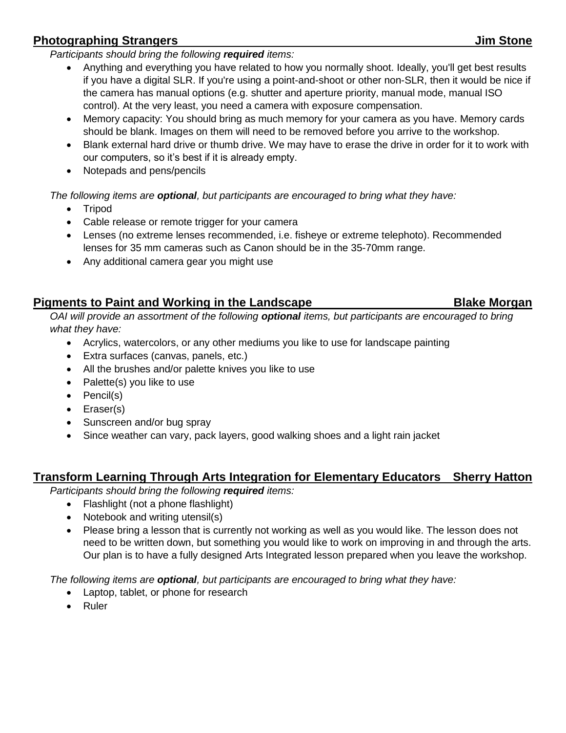### **Photographing Strangers Jim Stone**

*Participants should bring the following required items:*

- Anything and everything you have related to how you normally shoot. Ideally, you'll get best results if you have a digital SLR. If you're using a point-and-shoot or other non-SLR, then it would be nice if the camera has manual options (e.g. shutter and aperture priority, manual mode, manual ISO control). At the very least, you need a camera with exposure compensation.
- Memory capacity: You should bring as much memory for your camera as you have. Memory cards should be blank. Images on them will need to be removed before you arrive to the workshop.
- Blank external hard drive or thumb drive. We may have to erase the drive in order for it to work with our computers, so it's best if it is already empty.
- Notepads and pens/pencils

*The following items are optional, but participants are encouraged to bring what they have:*

- Tripod
- Cable release or remote trigger for your camera
- Lenses (no extreme lenses recommended, i.e. fisheye or extreme telephoto). Recommended lenses for 35 mm cameras such as Canon should be in the 35-70mm range.
- Any additional camera gear you might use

#### **Pigments to Paint and Working in the Landscape <b>Blake Morgan**

*OAI will provide an assortment of the following optional items, but participants are encouraged to bring what they have:*

- Acrylics, watercolors, or any other mediums you like to use for landscape painting
- Extra surfaces (canvas, panels, etc.)
- All the brushes and/or palette knives you like to use
- Palette(s) you like to use
- Pencil(s)
- Eraser(s)
- Sunscreen and/or bug spray
- Since weather can vary, pack layers, good walking shoes and a light rain jacket

#### **Transform Learning Through Arts Integration for Elementary Educators Sherry Hatton**

*Participants should bring the following required items:*

- Flashlight (not a phone flashlight)
- Notebook and writing utensil(s)
- Please bring a lesson that is currently not working as well as you would like. The lesson does not need to be written down, but something you would like to work on improving in and through the arts. Our plan is to have a fully designed Arts Integrated lesson prepared when you leave the workshop.

*The following items are optional, but participants are encouraged to bring what they have:*

- Laptop, tablet, or phone for research
- Ruler